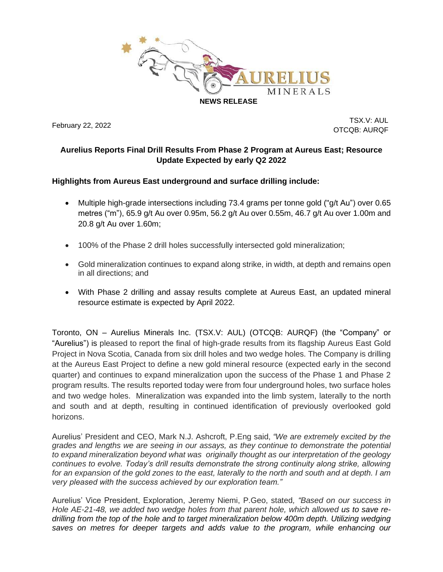

February 22, 2022

TSX.V: AUL OTCQB: AURQF

## **Aurelius Reports Final Drill Results From Phase 2 Program at Aureus East; Resource Update Expected by early Q2 2022**

## **Highlights from Aureus East underground and surface drilling include:**

- Multiple high-grade intersections including 73.4 grams per tonne gold ("g/t Au") over 0.65 metres ("m"), 65.9 g/t Au over 0.95m, 56.2 g/t Au over 0.55m, 46.7 g/t Au over 1.00m and 20.8 g/t Au over 1.60m;
- 100% of the Phase 2 drill holes successfully intersected gold mineralization;
- Gold mineralization continues to expand along strike, in width, at depth and remains open in all directions; and
- With Phase 2 drilling and assay results complete at Aureus East, an updated mineral resource estimate is expected by April 2022.

Toronto, ON – Aurelius Minerals Inc. (TSX.V: AUL) (OTCQB: AURQF) (the "Company" or "Aurelius") is pleased to report the final of high-grade results from its flagship Aureus East Gold Project in Nova Scotia, Canada from six drill holes and two wedge holes. The Company is drilling at the Aureus East Project to define a new gold mineral resource (expected early in the second quarter) and continues to expand mineralization upon the success of the Phase 1 and Phase 2 program results. The results reported today were from four underground holes, two surface holes and two wedge holes. Mineralization was expanded into the limb system, laterally to the north and south and at depth, resulting in continued identification of previously overlooked gold horizons.

Aurelius' President and CEO, Mark N.J. Ashcroft, P.Eng said, *"We are extremely excited by the grades and lengths we are seeing in our assays, as they continue to demonstrate the potential to expand mineralization beyond what was originally thought as our interpretation of the geology continues to evolve. Today's drill results demonstrate the strong continuity along strike, allowing for an expansion of the gold zones to the east, laterally to the north and south and at depth. I am very pleased with the success achieved by our exploration team."*

Aurelius' Vice President, Exploration, Jeremy Niemi, P.Geo, stated*, "Based on our success in Hole AE-21-48, we added two wedge holes from that parent hole, which allowed us to save redrilling from the top of the hole and to target mineralization below 400m depth. Utilizing wedging saves on metres for deeper targets and adds value to the program, while enhancing our*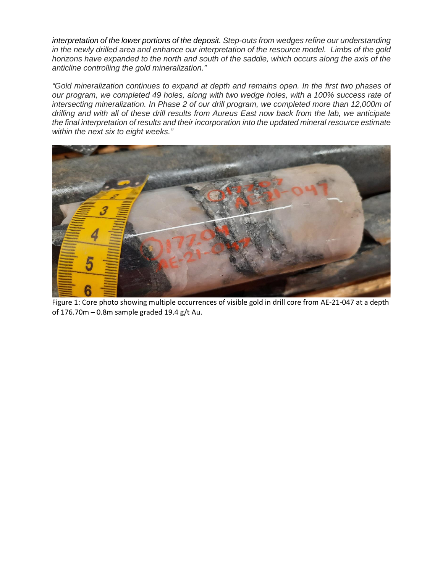*interpretation of the lower portions of the deposit. Step-outs from wedges refine our understanding* in the newly drilled area and enhance our interpretation of the resource model. Limbs of the gold *horizons have expanded to the north and south of the saddle, which occurs along the axis of the anticline controlling the gold mineralization."*

*"Gold mineralization continues to expand at depth and remains open. In the first two phases of our program, we completed 49 holes, along with two wedge holes, with a 100% success rate of intersecting mineralization. In Phase 2 of our drill program, we completed more than 12,000m of drilling and with all of these drill results from Aureus East now back from the lab, we anticipate the final interpretation of results and their incorporation into the updated mineral resource estimate within the next six to eight weeks."*



Figure 1: Core photo showing multiple occurrences of visible gold in drill core from AE-21-047 at a depth of 176.70m – 0.8m sample graded 19.4 g/t Au.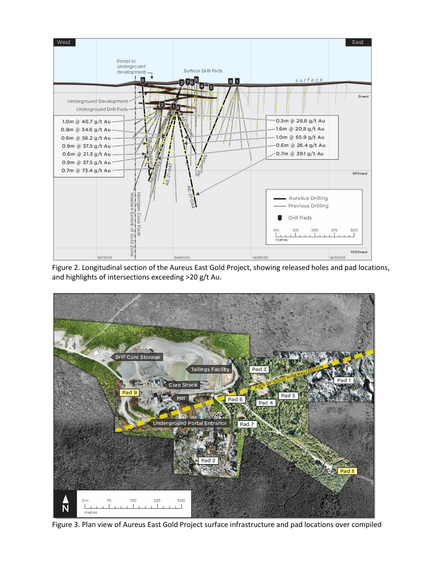

Figure 2. Longitudinal section of the Aureus East Gold Project, showing released holes and pad locations, and highlights of intersections exceeding >20 g/t Au.



Figure 3. Plan view of Aureus East Gold Project surface infrastructure and pad locations over compiled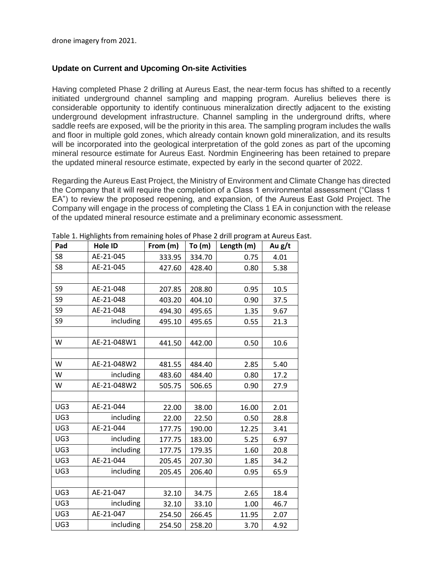drone imagery from 2021.

### **Update on Current and Upcoming On-site Activities**

Having completed Phase 2 drilling at Aureus East, the near-term focus has shifted to a recently initiated underground channel sampling and mapping program. Aurelius believes there is considerable opportunity to identify continuous mineralization directly adjacent to the existing underground development infrastructure. Channel sampling in the underground drifts, where saddle reefs are exposed, will be the priority in this area. The sampling program includes the walls and floor in multiple gold zones, which already contain known gold mineralization, and its results will be incorporated into the geological interpretation of the gold zones as part of the upcoming mineral resource estimate for Aureus East. Nordmin Engineering has been retained to prepare the updated mineral resource estimate, expected by early in the second quarter of 2022.

Regarding the Aureus East Project, the Ministry of Environment and Climate Change has directed the Company that it will require the completion of a Class 1 environmental assessment ("Class 1 EA") to review the proposed reopening, and expansion, of the Aureus East Gold Project. The Company will engage in the process of completing the Class 1 EA in conjunction with the release of the updated mineral resource estimate and a preliminary economic assessment.

| Pad            | Hole ID     | From (m) | To(m)  | Length (m) | Au g/t |
|----------------|-------------|----------|--------|------------|--------|
| S <sub>8</sub> | AE-21-045   | 333.95   | 334.70 | 0.75       | 4.01   |
| S8             | AE-21-045   | 427.60   | 428.40 | 0.80       | 5.38   |
|                |             |          |        |            |        |
| S9             | AE-21-048   | 207.85   | 208.80 | 0.95       | 10.5   |
| S9             | AE-21-048   | 403.20   | 404.10 | 0.90       | 37.5   |
| S <sub>9</sub> | AE-21-048   | 494.30   | 495.65 | 1.35       | 9.67   |
| S9             | including   | 495.10   | 495.65 | 0.55       | 21.3   |
|                |             |          |        |            |        |
| W              | AE-21-048W1 | 441.50   | 442.00 | 0.50       | 10.6   |
|                |             |          |        |            |        |
| W              | AE-21-048W2 | 481.55   | 484.40 | 2.85       | 5.40   |
| W              | including   | 483.60   | 484.40 | 0.80       | 17.2   |
| W              | AE-21-048W2 | 505.75   | 506.65 | 0.90       | 27.9   |
|                |             |          |        |            |        |
| UG3            | AE-21-044   | 22.00    | 38.00  | 16.00      | 2.01   |
| UG3            | including   | 22.00    | 22.50  | 0.50       | 28.8   |
| UG3            | AE-21-044   | 177.75   | 190.00 | 12.25      | 3.41   |
| UG3            | including   | 177.75   | 183.00 | 5.25       | 6.97   |
| UG3            | including   | 177.75   | 179.35 | 1.60       | 20.8   |
| UG3            | AE-21-044   | 205.45   | 207.30 | 1.85       | 34.2   |
| UG3            | including   | 205.45   | 206.40 | 0.95       | 65.9   |
|                |             |          |        |            |        |
| UG3            | AE-21-047   | 32.10    | 34.75  | 2.65       | 18.4   |
| UG3            | including   | 32.10    | 33.10  | 1.00       | 46.7   |
| UG3            | AE-21-047   | 254.50   | 266.45 | 11.95      | 2.07   |
| UG3            | including   | 254.50   | 258.20 | 3.70       | 4.92   |

Table 1. Highlights from remaining holes of Phase 2 drill program at Aureus East.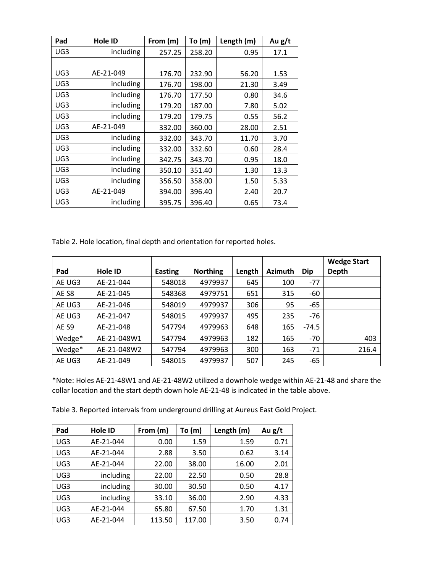| Pad             | <b>Hole ID</b> | From (m) | To(m)  | Length (m) | Au $g/t$ |
|-----------------|----------------|----------|--------|------------|----------|
| UG3             | including      | 257.25   | 258.20 | 0.95       | 17.1     |
|                 |                |          |        |            |          |
| UG <sub>3</sub> | AE-21-049      | 176.70   | 232.90 | 56.20      | 1.53     |
| UG3             | including      | 176.70   | 198.00 | 21.30      | 3.49     |
| UG3             | including      | 176.70   | 177.50 | 0.80       | 34.6     |
| UG <sub>3</sub> | including      | 179.20   | 187.00 | 7.80       | 5.02     |
| UG3             | including      | 179.20   | 179.75 | 0.55       | 56.2     |
| UG3             | AE-21-049      | 332.00   | 360.00 | 28.00      | 2.51     |
| UG <sub>3</sub> | including      | 332.00   | 343.70 | 11.70      | 3.70     |
| UG3             | including      | 332.00   | 332.60 | 0.60       | 28.4     |
| UG3             | including      | 342.75   | 343.70 | 0.95       | 18.0     |
| UG <sub>3</sub> | including      | 350.10   | 351.40 | 1.30       | 13.3     |
| UG3             | including      | 356.50   | 358.00 | 1.50       | 5.33     |
| UG <sub>3</sub> | AE-21-049      | 394.00   | 396.40 | 2.40       | 20.7     |
| UG3             | including      | 395.75   | 396.40 | 0.65       | 73.4     |

Table 2. Hole location, final depth and orientation for reported holes.

|        |             |                |                 |        |                |         | <b>Wedge Start</b> |
|--------|-------------|----------------|-----------------|--------|----------------|---------|--------------------|
| Pad    | Hole ID     | <b>Easting</b> | <b>Northing</b> | Length | <b>Azimuth</b> | Dip     | Depth              |
| AE UG3 | AE-21-044   | 548018         | 4979937         | 645    | 100            | $-77$   |                    |
| AE S8  | AE-21-045   | 548368         | 4979751         | 651    | 315            | -60     |                    |
| AE UG3 | AE-21-046   | 548019         | 4979937         | 306    | 95             | -65     |                    |
| AE UG3 | AE-21-047   | 548015         | 4979937         | 495    | 235            | $-76$   |                    |
| AE S9  | AE-21-048   | 547794         | 4979963         | 648    | 165            | $-74.5$ |                    |
| Wedge* | AE-21-048W1 | 547794         | 4979963         | 182    | 165            | $-70$   | 403                |
| Wedge* | AE-21-048W2 | 547794         | 4979963         | 300    | 163            | $-71$   | 216.4              |
| AE UG3 | AE-21-049   | 548015         | 4979937         | 507    | 245            | -65     |                    |

\*Note: Holes AE-21-48W1 and AE-21-48W2 utilized a downhole wedge within AE-21-48 and share the collar location and the start depth down hole AE-21-48 is indicated in the table above.

Table 3. Reported intervals from underground drilling at Aureus East Gold Project.

| Pad             | <b>Hole ID</b> | From (m) | To (m) | Length (m) | Au $g/t$ |
|-----------------|----------------|----------|--------|------------|----------|
| UG <sub>3</sub> | AE-21-044      | 0.00     | 1.59   | 1.59       | 0.71     |
| UG3             | AE-21-044      | 2.88     | 3.50   | 0.62       | 3.14     |
| UG <sub>3</sub> | AE-21-044      | 22.00    | 38.00  | 16.00      | 2.01     |
| UG <sub>3</sub> | including      | 22.00    | 22.50  | 0.50       | 28.8     |
| UG3             | including      | 30.00    | 30.50  | 0.50       | 4.17     |
| UG <sub>3</sub> | including      | 33.10    | 36.00  | 2.90       | 4.33     |
| UG <sub>3</sub> | AE-21-044      | 65.80    | 67.50  | 1.70       | 1.31     |
| UG3             | AE-21-044      | 113.50   | 117.00 | 3.50       | 0.74     |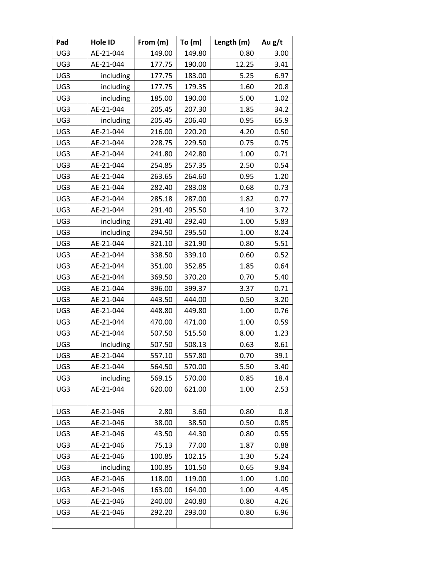| Pad | Hole ID   | From (m) | To $(m)$ | Length (m) | Au g/t |
|-----|-----------|----------|----------|------------|--------|
| UG3 | AE-21-044 | 149.00   | 149.80   | 0.80       | 3.00   |
| UG3 | AE-21-044 | 177.75   | 190.00   | 12.25      | 3.41   |
| UG3 | including | 177.75   | 183.00   | 5.25       | 6.97   |
| UG3 | including | 177.75   | 179.35   | 1.60       | 20.8   |
| UG3 | including | 185.00   | 190.00   | 5.00       | 1.02   |
| UG3 | AE-21-044 | 205.45   | 207.30   | 1.85       | 34.2   |
| UG3 | including | 205.45   | 206.40   | 0.95       | 65.9   |
| UG3 | AE-21-044 | 216.00   | 220.20   | 4.20       | 0.50   |
| UG3 | AE-21-044 | 228.75   | 229.50   | 0.75       | 0.75   |
| UG3 | AE-21-044 | 241.80   | 242.80   | 1.00       | 0.71   |
| UG3 | AE-21-044 | 254.85   | 257.35   | 2.50       | 0.54   |
| UG3 | AE-21-044 | 263.65   | 264.60   | 0.95       | 1.20   |
| UG3 | AE-21-044 | 282.40   | 283.08   | 0.68       | 0.73   |
| UG3 | AE-21-044 | 285.18   | 287.00   | 1.82       | 0.77   |
| UG3 | AE-21-044 | 291.40   | 295.50   | 4.10       | 3.72   |
| UG3 | including | 291.40   | 292.40   | 1.00       | 5.83   |
| UG3 | including | 294.50   | 295.50   | 1.00       | 8.24   |
| UG3 | AE-21-044 | 321.10   | 321.90   | 0.80       | 5.51   |
| UG3 | AE-21-044 | 338.50   | 339.10   | 0.60       | 0.52   |
| UG3 | AE-21-044 | 351.00   | 352.85   | 1.85       | 0.64   |
| UG3 | AE-21-044 | 369.50   | 370.20   | 0.70       | 5.40   |
| UG3 | AE-21-044 | 396.00   | 399.37   | 3.37       | 0.71   |
| UG3 | AE-21-044 | 443.50   | 444.00   | 0.50       | 3.20   |
| UG3 | AE-21-044 | 448.80   | 449.80   | 1.00       | 0.76   |
| UG3 | AE-21-044 | 470.00   | 471.00   | 1.00       | 0.59   |
| UG3 | AE-21-044 | 507.50   | 515.50   | 8.00       | 1.23   |
| UG3 | including | 507.50   | 508.13   | 0.63       | 8.61   |
| UG3 | AE-21-044 | 557.10   | 557.80   | 0.70       | 39.1   |
| UG3 | AE-21-044 | 564.50   | 570.00   | 5.50       | 3.40   |
| UG3 | including | 569.15   | 570.00   | 0.85       | 18.4   |
| UG3 | AE-21-044 | 620.00   | 621.00   | 1.00       | 2.53   |
|     |           |          |          |            |        |
| UG3 | AE-21-046 | 2.80     | 3.60     | 0.80       | 0.8    |
| UG3 | AE-21-046 | 38.00    | 38.50    | 0.50       | 0.85   |
| UG3 | AE-21-046 | 43.50    | 44.30    | 0.80       | 0.55   |
| UG3 | AE-21-046 | 75.13    | 77.00    | 1.87       | 0.88   |
| UG3 | AE-21-046 | 100.85   | 102.15   | 1.30       | 5.24   |
| UG3 | including | 100.85   | 101.50   | 0.65       | 9.84   |
| UG3 | AE-21-046 | 118.00   | 119.00   | 1.00       | 1.00   |
| UG3 | AE-21-046 | 163.00   | 164.00   | 1.00       | 4.45   |
| UG3 | AE-21-046 | 240.00   | 240.80   | 0.80       | 4.26   |
| UG3 | AE-21-046 | 292.20   | 293.00   | 0.80       | 6.96   |
|     |           |          |          |            |        |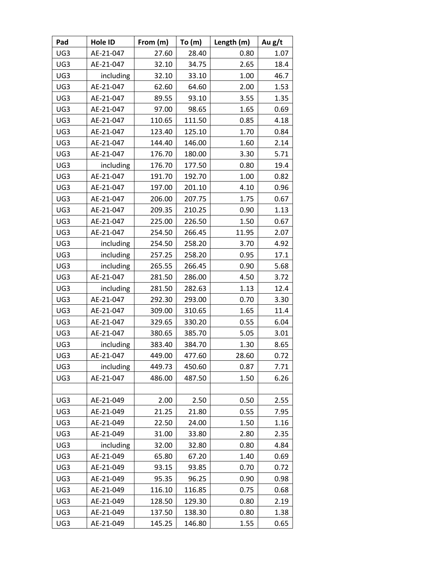| Pad | Hole ID   | From (m) | To (m) | Length (m) | Au g/t |
|-----|-----------|----------|--------|------------|--------|
| UG3 | AE-21-047 | 27.60    | 28.40  | 0.80       | 1.07   |
| UG3 | AE-21-047 | 32.10    | 34.75  | 2.65       | 18.4   |
| UG3 | including | 32.10    | 33.10  | 1.00       | 46.7   |
| UG3 | AE-21-047 | 62.60    | 64.60  | 2.00       | 1.53   |
| UG3 | AE-21-047 | 89.55    | 93.10  | 3.55       | 1.35   |
| UG3 | AE-21-047 | 97.00    | 98.65  | 1.65       | 0.69   |
| UG3 | AE-21-047 | 110.65   | 111.50 | 0.85       | 4.18   |
| UG3 | AE-21-047 | 123.40   | 125.10 | 1.70       | 0.84   |
| UG3 | AE-21-047 | 144.40   | 146.00 | 1.60       | 2.14   |
| UG3 | AE-21-047 | 176.70   | 180.00 | 3.30       | 5.71   |
| UG3 | including | 176.70   | 177.50 | 0.80       | 19.4   |
| UG3 | AE-21-047 | 191.70   | 192.70 | 1.00       | 0.82   |
| UG3 | AE-21-047 | 197.00   | 201.10 | 4.10       | 0.96   |
| UG3 | AE-21-047 | 206.00   | 207.75 | 1.75       | 0.67   |
| UG3 | AE-21-047 | 209.35   | 210.25 | 0.90       | 1.13   |
| UG3 | AE-21-047 | 225.00   | 226.50 | 1.50       | 0.67   |
| UG3 | AE-21-047 | 254.50   | 266.45 | 11.95      | 2.07   |
| UG3 | including | 254.50   | 258.20 | 3.70       | 4.92   |
| UG3 | including | 257.25   | 258.20 | 0.95       | 17.1   |
| UG3 | including | 265.55   | 266.45 | 0.90       | 5.68   |
| UG3 | AE-21-047 | 281.50   | 286.00 | 4.50       | 3.72   |
| UG3 | including | 281.50   | 282.63 | 1.13       | 12.4   |
| UG3 | AE-21-047 | 292.30   | 293.00 | 0.70       | 3.30   |
| UG3 | AE-21-047 | 309.00   | 310.65 | 1.65       | 11.4   |
| UG3 | AE-21-047 | 329.65   | 330.20 | 0.55       | 6.04   |
| UG3 | AE-21-047 | 380.65   | 385.70 | 5.05       | 3.01   |
| UG3 | including | 383.40   | 384.70 | 1.30       | 8.65   |
| UG3 | AE-21-047 | 449.00   | 477.60 | 28.60      | 0.72   |
| UG3 | including | 449.73   | 450.60 | 0.87       | 7.71   |
| UG3 | AE-21-047 | 486.00   | 487.50 | 1.50       | 6.26   |
|     |           |          |        |            |        |
| UG3 | AE-21-049 | 2.00     | 2.50   | 0.50       | 2.55   |
| UG3 | AE-21-049 | 21.25    | 21.80  | 0.55       | 7.95   |
| UG3 | AE-21-049 | 22.50    | 24.00  | 1.50       | 1.16   |
| UG3 | AE-21-049 | 31.00    | 33.80  | 2.80       | 2.35   |
| UG3 | including | 32.00    | 32.80  | 0.80       | 4.84   |
| UG3 | AE-21-049 | 65.80    | 67.20  | 1.40       | 0.69   |
| UG3 | AE-21-049 | 93.15    | 93.85  | 0.70       | 0.72   |
| UG3 | AE-21-049 | 95.35    | 96.25  | 0.90       | 0.98   |
| UG3 | AE-21-049 | 116.10   | 116.85 | 0.75       | 0.68   |
| UG3 | AE-21-049 | 128.50   | 129.30 | 0.80       | 2.19   |
| UG3 | AE-21-049 | 137.50   | 138.30 | 0.80       | 1.38   |
| UG3 | AE-21-049 | 145.25   | 146.80 | 1.55       | 0.65   |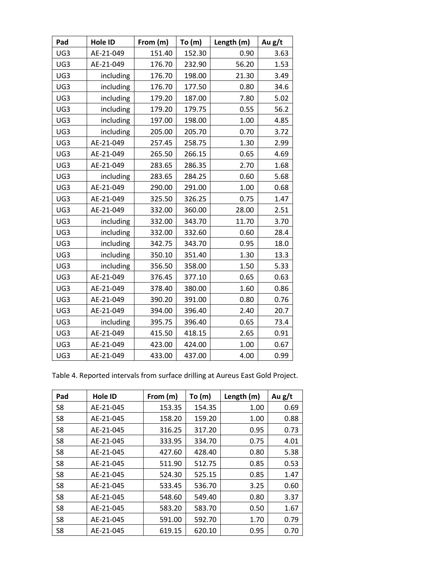| Pad | Hole ID   | From (m) | To $(m)$ | Length (m) | Au g/t |
|-----|-----------|----------|----------|------------|--------|
| UG3 | AE-21-049 | 151.40   | 152.30   | 0.90       | 3.63   |
| UG3 | AE-21-049 | 176.70   | 232.90   | 56.20      | 1.53   |
| UG3 | including | 176.70   | 198.00   | 21.30      | 3.49   |
| UG3 | including | 176.70   | 177.50   | 0.80       | 34.6   |
| UG3 | including | 179.20   | 187.00   | 7.80       | 5.02   |
| UG3 | including | 179.20   | 179.75   | 0.55       | 56.2   |
| UG3 | including | 197.00   | 198.00   | 1.00       | 4.85   |
| UG3 | including | 205.00   | 205.70   | 0.70       | 3.72   |
| UG3 | AE-21-049 | 257.45   | 258.75   | 1.30       | 2.99   |
| UG3 | AE-21-049 | 265.50   | 266.15   | 0.65       | 4.69   |
| UG3 | AE-21-049 | 283.65   | 286.35   | 2.70       | 1.68   |
| UG3 | including | 283.65   | 284.25   | 0.60       | 5.68   |
| UG3 | AE-21-049 | 290.00   | 291.00   | 1.00       | 0.68   |
| UG3 | AE-21-049 | 325.50   | 326.25   | 0.75       | 1.47   |
| UG3 | AE-21-049 | 332.00   | 360.00   | 28.00      | 2.51   |
| UG3 | including | 332.00   | 343.70   | 11.70      | 3.70   |
| UG3 | including | 332.00   | 332.60   | 0.60       | 28.4   |
| UG3 | including | 342.75   | 343.70   | 0.95       | 18.0   |
| UG3 | including | 350.10   | 351.40   | 1.30       | 13.3   |
| UG3 | including | 356.50   | 358.00   | 1.50       | 5.33   |
| UG3 | AE-21-049 | 376.45   | 377.10   | 0.65       | 0.63   |
| UG3 | AE-21-049 | 378.40   | 380.00   | 1.60       | 0.86   |
| UG3 | AE-21-049 | 390.20   | 391.00   | 0.80       | 0.76   |
| UG3 | AE-21-049 | 394.00   | 396.40   | 2.40       | 20.7   |
| UG3 | including | 395.75   | 396.40   | 0.65       | 73.4   |
| UG3 | AE-21-049 | 415.50   | 418.15   | 2.65       | 0.91   |
| UG3 | AE-21-049 | 423.00   | 424.00   | 1.00       | 0.67   |
| UG3 | AE-21-049 | 433.00   | 437.00   | 4.00       | 0.99   |

|  |  |  | Table 4. Reported intervals from surface drilling at Aureus East Gold Project. |
|--|--|--|--------------------------------------------------------------------------------|
|  |  |  |                                                                                |

| Pad            | <b>Hole ID</b> | From (m) | To $(m)$ | Length (m) | Au $g/t$ |
|----------------|----------------|----------|----------|------------|----------|
| S <sub>8</sub> | AE-21-045      | 153.35   | 154.35   | 1.00       | 0.69     |
| S <sub>8</sub> | AE-21-045      | 158.20   | 159.20   | 1.00       | 0.88     |
| S <sub>8</sub> | AE-21-045      | 316.25   | 317.20   | 0.95       | 0.73     |
| S <sub>8</sub> | AE-21-045      | 333.95   | 334.70   | 0.75       | 4.01     |
| S <sub>8</sub> | AE-21-045      | 427.60   | 428.40   | 0.80       | 5.38     |
| S8             | AE-21-045      | 511.90   | 512.75   | 0.85       | 0.53     |
| S <sub>8</sub> | AE-21-045      | 524.30   | 525.15   | 0.85       | 1.47     |
| S <sub>8</sub> | AE-21-045      | 533.45   | 536.70   | 3.25       | 0.60     |
| S <sub>8</sub> | AE-21-045      | 548.60   | 549.40   | 0.80       | 3.37     |
| S <sub>8</sub> | AE-21-045      | 583.20   | 583.70   | 0.50       | 1.67     |
| S <sub>8</sub> | AE-21-045      | 591.00   | 592.70   | 1.70       | 0.79     |
| S8             | AE-21-045      | 619.15   | 620.10   | 0.95       | 0.70     |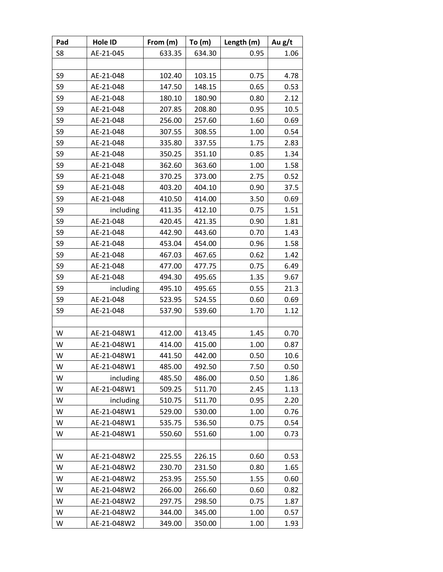| Pad    | Hole ID     | From (m) | To(m)  | Length (m) | Au g/t |
|--------|-------------|----------|--------|------------|--------|
| S8     | AE-21-045   | 633.35   | 634.30 | 0.95       | 1.06   |
|        |             |          |        |            |        |
| S9     | AE-21-048   | 102.40   | 103.15 | 0.75       | 4.78   |
| S9     | AE-21-048   | 147.50   | 148.15 | 0.65       | 0.53   |
| S9     | AE-21-048   | 180.10   | 180.90 | 0.80       | 2.12   |
| S9     | AE-21-048   | 207.85   | 208.80 | 0.95       | 10.5   |
| S9     | AE-21-048   | 256.00   | 257.60 | 1.60       | 0.69   |
| S9     | AE-21-048   | 307.55   | 308.55 | 1.00       | 0.54   |
| S9     | AE-21-048   | 335.80   | 337.55 | 1.75       | 2.83   |
| S9     | AE-21-048   | 350.25   | 351.10 | 0.85       | 1.34   |
| S9     | AE-21-048   | 362.60   | 363.60 | 1.00       | 1.58   |
| S9     | AE-21-048   | 370.25   | 373.00 | 2.75       | 0.52   |
| S9     | AE-21-048   | 403.20   | 404.10 | 0.90       | 37.5   |
| S9     | AE-21-048   | 410.50   | 414.00 | 3.50       | 0.69   |
| S9     | including   | 411.35   | 412.10 | 0.75       | 1.51   |
| S9     | AE-21-048   | 420.45   | 421.35 | 0.90       | 1.81   |
| S9     | AE-21-048   | 442.90   | 443.60 | 0.70       | 1.43   |
| S9     | AE-21-048   | 453.04   | 454.00 | 0.96       | 1.58   |
| S9     | AE-21-048   | 467.03   | 467.65 | 0.62       | 1.42   |
| S9     | AE-21-048   | 477.00   | 477.75 | 0.75       | 6.49   |
| S9     | AE-21-048   | 494.30   | 495.65 | 1.35       | 9.67   |
| S9     | including   | 495.10   | 495.65 | 0.55       | 21.3   |
| S9     | AE-21-048   | 523.95   | 524.55 | 0.60       | 0.69   |
| S9     | AE-21-048   | 537.90   | 539.60 | 1.70       | 1.12   |
|        |             |          |        |            |        |
| W      | AE-21-048W1 | 412.00   | 413.45 | 1.45       | 0.70   |
| W      | AE-21-048W1 | 414.00   | 415.00 | 1.00       | 0.87   |
| W      | AE-21-048W1 | 441.50   | 442.00 | 0.50       | 10.6   |
| W      | AE-21-048W1 | 485.00   | 492.50 | 7.50       | 0.50   |
| W      | including   | 485.50   | 486.00 | 0.50       | 1.86   |
| W      | AE-21-048W1 | 509.25   | 511.70 | 2.45       | 1.13   |
| W      | including   | 510.75   | 511.70 | 0.95       | 2.20   |
| W      | AE-21-048W1 | 529.00   | 530.00 | 1.00       | 0.76   |
| W      | AE-21-048W1 | 535.75   | 536.50 | 0.75       | 0.54   |
| W      | AE-21-048W1 | 550.60   | 551.60 | 1.00       | 0.73   |
|        |             |          |        |            |        |
| W      | AE-21-048W2 | 225.55   | 226.15 | 0.60       | 0.53   |
| W      | AE-21-048W2 | 230.70   | 231.50 | 0.80       | 1.65   |
| W      | AE-21-048W2 | 253.95   | 255.50 | 1.55       | 0.60   |
| W      | AE-21-048W2 | 266.00   | 266.60 | 0.60       | 0.82   |
| W<br>W | AE-21-048W2 | 297.75   | 298.50 | 0.75       | 1.87   |
|        | AE-21-048W2 | 344.00   | 345.00 | 1.00       | 0.57   |
| W      | AE-21-048W2 | 349.00   | 350.00 | 1.00       | 1.93   |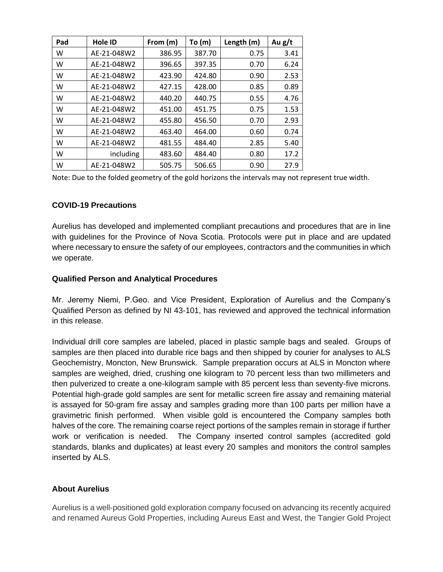| Pad | Hole ID     | From (m) | To (m) | Length (m) | Au $g/t$ |
|-----|-------------|----------|--------|------------|----------|
| w   | AE-21-048W2 | 386.95   | 387.70 | 0.75       | 3.41     |
| w   | AE-21-048W2 | 396.65   | 397.35 | 0.70       | 6.24     |
| w   | AE-21-048W2 | 423.90   | 424.80 | 0.90       | 2.53     |
| w   | AE-21-048W2 | 427.15   | 428.00 | 0.85       | 0.89     |
| w   | AE-21-048W2 | 440.20   | 440.75 | 0.55       | 4.76     |
| W   | AE-21-048W2 | 451.00   | 451.75 | 0.75       | 1.53     |
| w   | AE-21-048W2 | 455.80   | 456.50 | 0.70       | 2.93     |
| w   | AE-21-048W2 | 463.40   | 464.00 | 0.60       | 0.74     |
| w   | AE-21-048W2 | 481.55   | 484.40 | 2.85       | 5.40     |
| w   | including   | 483.60   | 484.40 | 0.80       | 17.2     |
| w   | AE-21-048W2 | 505.75   | 506.65 | 0.90       | 27.9     |

Note: Due to the folded geometry of the gold horizons the intervals may not represent true width.

#### **COVID-19 Precautions**

Aurelius has developed and implemented compliant precautions and procedures that are in line with guidelines for the Province of Nova Scotia. Protocols were put in place and are updated where necessary to ensure the safety of our employees, contractors and the communities in which we operate.

### **Qualified Person and Analytical Procedures**

Mr. Jeremy Niemi, P.Geo. and Vice President, Exploration of Aurelius and the Company's Qualified Person as defined by NI 43-101, has reviewed and approved the technical information in this release.

Individual drill core samples are labeled, placed in plastic sample bags and sealed. Groups of samples are then placed into durable rice bags and then shipped by courier for analyses to ALS Geochemistry, Moncton, New Brunswick. Sample preparation occurs at ALS in Moncton where samples are weighed, dried, crushing one kilogram to 70 percent less than two millimeters and then pulverized to create a one-kilogram sample with 85 percent less than seventy-five microns. Potential high-grade gold samples are sent for metallic screen fire assay and remaining material is assayed for 50-gram fire assay and samples grading more than 100 parts per million have a gravimetric finish performed. When visible gold is encountered the Company samples both halves of the core. The remaining coarse reject portions of the samples remain in storage if further work or verification is needed. The Company inserted control samples (accredited gold standards, blanks and duplicates) at least every 20 samples and monitors the control samples inserted by ALS.

## **About Aurelius**

Aurelius is a well-positioned gold exploration company focused on advancing its recently acquired and renamed Aureus Gold Properties, including Aureus East and West, the Tangier Gold Project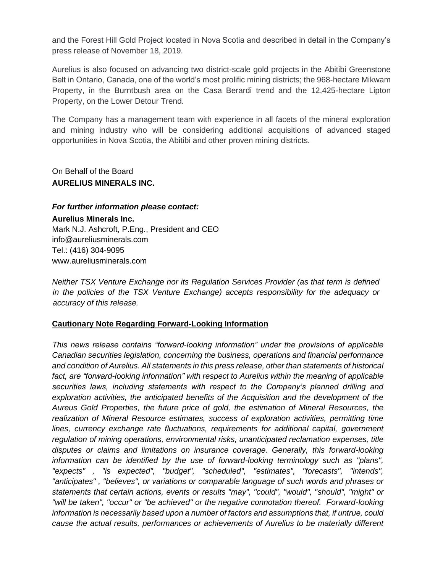and the Forest Hill Gold Project located in Nova Scotia and described in detail in the Company's press release of November 18, 2019.

Aurelius is also focused on advancing two district-scale gold projects in the Abitibi Greenstone Belt in Ontario, Canada, one of the world's most prolific mining districts; the 968-hectare Mikwam Property, in the Burntbush area on the Casa Berardi trend and the 12,425-hectare Lipton Property, on the Lower Detour Trend.

The Company has a management team with experience in all facets of the mineral exploration and mining industry who will be considering additional acquisitions of advanced staged opportunities in Nova Scotia, the Abitibi and other proven mining districts.

On Behalf of the Board **AURELIUS MINERALS INC.**

*For further information please contact:*

**Aurelius Minerals Inc.** Mark N.J. Ashcroft, P.Eng., President and CEO info@aureliusminerals.com Tel.: (416) 304-9095 www.aureliusminerals.com

*Neither TSX Venture Exchange nor its Regulation Services Provider (as that term is defined in the policies of the TSX Venture Exchange) accepts responsibility for the adequacy or accuracy of this release.*

# **Cautionary Note Regarding Forward-Looking Information**

*This news release contains "forward-looking information" under the provisions of applicable Canadian securities legislation, concerning the business, operations and financial performance and condition of Aurelius. All statements in this press release, other than statements of historical*  fact, are "forward-looking information" with respect to Aurelius within the meaning of applicable *securities laws, including statements with respect to the Company's planned drilling and exploration activities, the anticipated benefits of the Acquisition and the development of the Aureus Gold Properties, the future price of gold, the estimation of Mineral Resources, the realization of Mineral Resource estimates, success of exploration activities, permitting time*  lines, currency exchange rate fluctuations, requirements for additional capital, government *regulation of mining operations, environmental risks, unanticipated reclamation expenses, title disputes or claims and limitations on insurance coverage. Generally, this forward-looking information can be identified by the use of forward-looking terminology such as "plans", "expects" , "is expected", "budget", "scheduled", "estimates", "forecasts", "intends", "anticipates" , "believes", or variations or comparable language of such words and phrases or statements that certain actions, events or results "may", "could", "would", "should", "might" or "will be taken", "occur" or "be achieved" or the negative connotation thereof. Forward-looking information is necessarily based upon a number of factors and assumptions that, if untrue, could cause the actual results, performances or achievements of Aurelius to be materially different*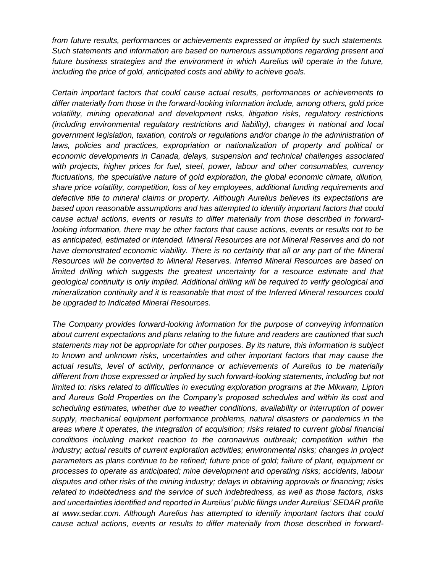*from future results, performances or achievements expressed or implied by such statements. Such statements and information are based on numerous assumptions regarding present and future business strategies and the environment in which Aurelius will operate in the future, including the price of gold, anticipated costs and ability to achieve goals.* 

*Certain important factors that could cause actual results, performances or achievements to differ materially from those in the forward-looking information include, among others, gold price volatility, mining operational and development risks, litigation risks, regulatory restrictions (including environmental regulatory restrictions and liability), changes in national and local government legislation, taxation, controls or regulations and/or change in the administration of*  laws, policies and practices, expropriation or nationalization of property and political or *economic developments in Canada, delays, suspension and technical challenges associated with projects, higher prices for fuel, steel, power, labour and other consumables, currency fluctuations, the speculative nature of gold exploration, the global economic climate, dilution, share price volatility, competition, loss of key employees, additional funding requirements and defective title to mineral claims or property. Although Aurelius believes its expectations are based upon reasonable assumptions and has attempted to identify important factors that could cause actual actions, events or results to differ materially from those described in forwardlooking information, there may be other factors that cause actions, events or results not to be as anticipated, estimated or intended. Mineral Resources are not Mineral Reserves and do not have demonstrated economic viability. There is no certainty that all or any part of the Mineral Resources will be converted to Mineral Reserves. Inferred Mineral Resources are based on limited drilling which suggests the greatest uncertainty for a resource estimate and that geological continuity is only implied. Additional drilling will be required to verify geological and mineralization continuity and it is reasonable that most of the Inferred Mineral resources could be upgraded to Indicated Mineral Resources.*

*The Company provides forward-looking information for the purpose of conveying information about current expectations and plans relating to the future and readers are cautioned that such statements may not be appropriate for other purposes. By its nature, this information is subject to known and unknown risks, uncertainties and other important factors that may cause the actual results, level of activity, performance or achievements of Aurelius to be materially different from those expressed or implied by such forward-looking statements, including but not limited to: risks related to difficulties in executing exploration programs at the Mikwam, Lipton and Aureus Gold Properties on the Company's proposed schedules and within its cost and scheduling estimates, whether due to weather conditions, availability or interruption of power supply, mechanical equipment performance problems, natural disasters or pandemics in the areas where it operates, the integration of acquisition; risks related to current global financial conditions including market reaction to the coronavirus outbreak; competition within the industry; actual results of current exploration activities; environmental risks; changes in project parameters as plans continue to be refined; future price of gold; failure of plant, equipment or processes to operate as anticipated; mine development and operating risks; accidents, labour disputes and other risks of the mining industry; delays in obtaining approvals or financing; risks related to indebtedness and the service of such indebtedness, as well as those factors, risks and uncertainties identified and reported in Aurelius' public filings under Aurelius' SEDAR profile at www.sedar.com. Although Aurelius has attempted to identify important factors that could cause actual actions, events or results to differ materially from those described in forward-*